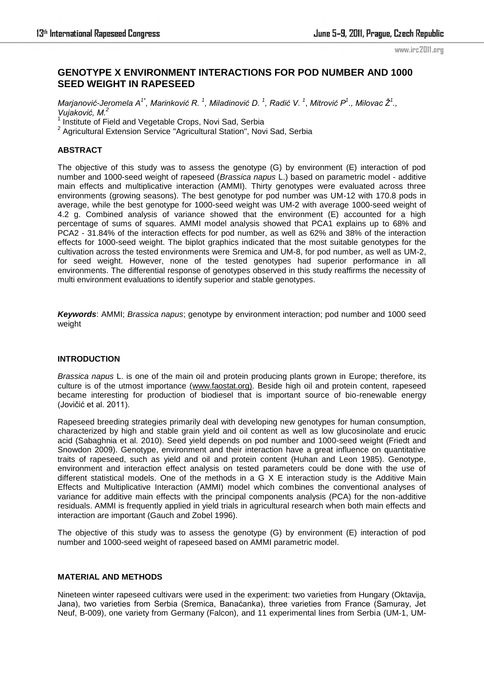# **GENOTYPE X ENVIRONMENT INTERACTIONS FOR POD NUMBER AND 1000 SEED WEIGHT IN RAPESEED**

 $M$ arjanović-Jeromela A<sup>1\*</sup>, Marinković R. <sup>1</sup>, Miladinović D. <sup>1</sup>, Radić V. <sup>1</sup>, Mitrović P<sup>1</sup>., Milovac Ž<sup>1</sup>., *Vujaković, M.<sup>2</sup>*

1 Institute of Field and Vegetable Crops, Novi Sad, Serbia

<sup>2</sup> Agricultural Extension Service "Agricultural Station", Novi Sad, Serbia

# **ABSTRACT**

The objective of this study was to assess the genotype (G) by environment (E) interaction of pod number and 1000-seed weight of rapeseed (*Brassica napus* L.) based on parametric model - additive main effects and multiplicative interaction (AMMI). Thirty genotypes were evaluated across three environments (growing seasons). The best genotype for pod number was UM-12 with 170.8 pods in average, while the best genotype for 1000-seed weight was UM-2 with average 1000-seed weight of 4.2 g. Combined analysis of variance showed that the environment (E) accounted for a high percentage of sums of squares. AMMI model analysis showed that PCA1 explains up to 68% and PCA2 - 31.84% of the interaction effects for pod number, as well as 62% and 38% of the interaction effects for 1000-seed weight. The biplot graphics indicated that the most suitable genotypes for the cultivation across the tested environments were Sremica and UM-8, for pod number, as well as UM-2, for seed weight. However, none of the tested genotypes had superior performance in all environments. The differential response of genotypes observed in this study reaffirms the necessity of multi environment evaluations to identify superior and stable genotypes.

*Keywords*: AMMI; *Brassica napus*; genotype by environment interaction; pod number and 1000 seed weight

### **INTRODUCTION**

*Brassica napus* L. is one of the main oil and protein producing plants grown in Europe; therefore, its culture is of the utmost importance [\(www.faostat.org\)](http://www.faostat.org/). Beside high oil and protein content, rapeseed became interesting for production of biodiesel that is important source of bio-renewable energy (Joviĉić et al. 2011).

Rapeseed breeding strategies primarily deal with developing new genotypes for human consumption, characterized by high and stable grain yield and oil content as well as low glucosinolate and erucic acid (Sabaghnia et al. 2010). Seed yield depends on pod number and 1000-seed weight (Friedt and Snowdon 2009). Genotype, environment and their interaction have a great influence on quantitative traits of rapeseed, such as yield and oil and protein content (Huhan and Leon 1985). Genotype, environment and interaction effect analysis on tested parameters could be done with the use of different statistical models. One of the methods in a G X E interaction study is the Additive Main Effects and Multiplicative Interaction (AMMI) model which combines the conventional analyses of variance for additive main effects with the principal components analysis (PCA) for the non-additive residuals. AMMI is frequently applied in yield trials in agricultural research when both main effects and interaction are important (Gauch and Zobel 1996).

The objective of this study was to assess the genotype (G) by environment (E) interaction of pod number and 1000-seed weight of rapeseed based on AMMI parametric model.

### **MATERIAL AND METHODS**

Nineteen winter rapeseed cultivars were used in the experiment: two varieties from Hungary (Oktavija, Jana), two varieties from Serbia (Sremica, Banaćanka), three varieties from France (Samuray, Jet Neuf, B-009), one variety from Germany (Falcon), and 11 experimental lines from Serbia (UM-1, UM-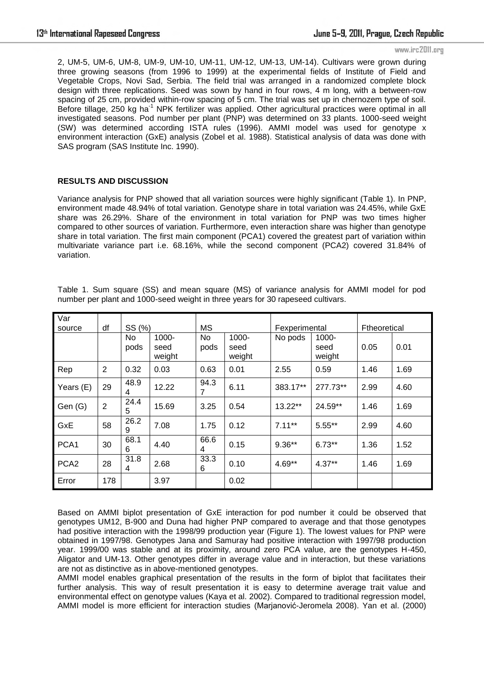2, UM-5, UM-6, UM-8, UM-9, UM-10, UM-11, UM-12, UM-13, UM-14). Cultivars were grown during three growing seasons (from 1996 to 1999) at the experimental fields of Institute of Field and Vegetable Crops, Novi Sad, Serbia. The field trial was arranged in a randomized complete block design with three replications. Seed was sown by hand in four rows, 4 m long, with a between-row spacing of 25 cm, provided within-row spacing of 5 cm. The trial was set up in chernozem type of soil. Before tillage, 250 kg ha<sup>-1</sup> NPK fertilizer was applied. Other agricultural practices were optimal in all investigated seasons. Pod number per plant (PNP) was determined on 33 plants. 1000-seed weight (SW) was determined according ISTA rules (1996). AMMI model was used for genotype x environment interaction (GxE) analysis (Zobel et al. 1988). Statistical analysis of data was done with SAS program (SAS Institute Inc. 1990).

# **RESULTS AND DISCUSSION**

Variance analysis for PNP showed that all variation sources were highly significant (Table 1). In PNP, environment made 48.94% of total variation. Genotype share in total variation was 24.45%, while GxE share was 26.29%. Share of the environment in total variation for PNP was two times higher compared to other sources of variation. Furthermore, even interaction share was higher than genotype share in total variation. The first main component (PCA1) covered the greatest part of variation within multivariate variance part i.e. 68.16%, while the second component (PCA2) covered 31.84% of variation.

| Var<br>source    | df             | SS (%)      |                            | МS         |                            | Fexperimental |                         | Ftheoretical |      |
|------------------|----------------|-------------|----------------------------|------------|----------------------------|---------------|-------------------------|--------------|------|
|                  |                | No.<br>pods | $1000 -$<br>seed<br>weight | No<br>pods | $1000 -$<br>seed<br>weight | No pods       | 1000-<br>seed<br>weight | 0.05         | 0.01 |
| Rep              | $\overline{2}$ | 0.32        | 0.03                       | 0.63       | 0.01                       | 2.55          | 0.59                    | 1.46         | 1.69 |
| Years (E)        | 29             | 48.9<br>4   | 12.22                      | 94.3<br>7  | 6.11                       | 383.17**      | 277.73**                | 2.99         | 4.60 |
| Gen (G)          | $\overline{2}$ | 24.4<br>5   | 15.69                      | 3.25       | 0.54                       | $13.22**$     | 24.59**                 | 1.46         | 1.69 |
| GxE              | 58             | 26.2<br>9   | 7.08                       | 1.75       | 0.12                       | $7.11***$     | $5.55***$               | 2.99         | 4.60 |
| PCA1             | 30             | 68.1<br>6   | 4.40                       | 66.6<br>4  | 0.15                       | $9.36**$      | $6.73**$                | 1.36         | 1.52 |
| PCA <sub>2</sub> | 28             | 31.8<br>4   | 2.68                       | 33.3<br>6  | 0.10                       | 4.69**        | $4.37**$                | 1.46         | 1.69 |
| Error            | 178            |             | 3.97                       |            | 0.02                       |               |                         |              |      |

Table 1. Sum square (SS) and mean square (MS) of variance analysis for AMMI model for pod number per plant and 1000-seed weight in three years for 30 rapeseed cultivars.

Based on AMMI biplot presentation of GxE interaction for pod number it could be observed that genotypes UM12, B-900 and Duna had higher PNP compared to average and that those genotypes had positive interaction with the 1998/99 production year (Figure 1). The lowest values for PNP were obtained in 1997/98. Genotypes Jana and Samuray had positive interaction with 1997/98 production year. 1999/00 was stable and at its proximity, around zero PCA value, are the genotypes H-450, Aligator and UM-13. Other genotypes differ in average value and in interaction, but these variations are not as distinctive as in above-mentioned genotypes.

AMMI model enables graphical presentation of the results in the form of biplot that facilitates their further analysis. This way of result presentation it is easy to determine average trait value and environmental effect on genotype values (Kaya et al. 2002). Compared to traditional regression model, AMMI model is more efficient for interaction studies (Marjanović-Jeromela 2008). Yan et al. (2000)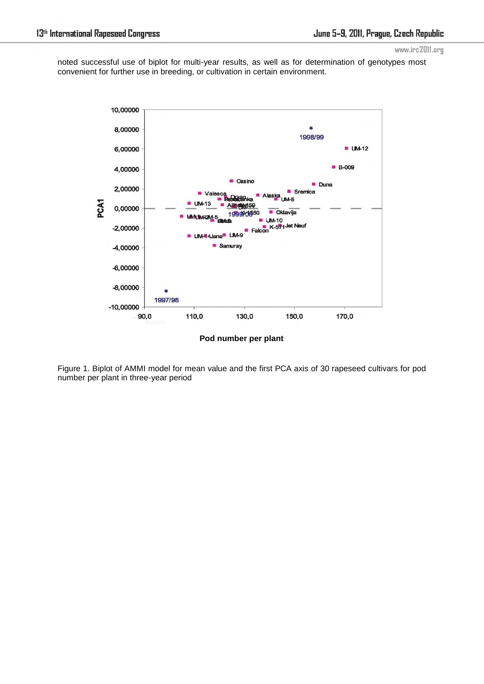noted successful use of biplot for multi-year results, as well as for determination of genotypes most convenient for further use in breeding, or cultivation in certain environment.



Figure 1. Biplot of AMMI model for mean value and the first PCA axis of 30 rapeseed cultivars for pod number per plant in three-year period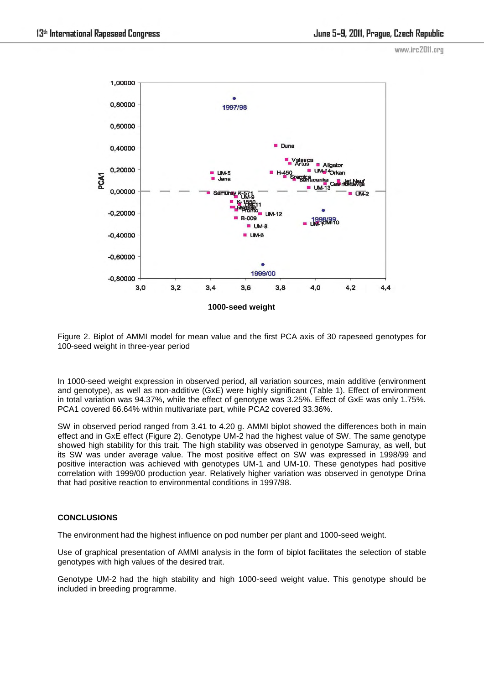

Figure 2. Biplot of AMMI model for mean value and the first PCA axis of 30 rapeseed genotypes for 100-seed weight in three-year period

In 1000-seed weight expression in observed period, all variation sources, main additive (environment and genotype), as well as non-additive (GxE) were highly significant (Table 1). Effect of environment in total variation was 94.37%, while the effect of genotype was 3.25%. Effect of GxE was only 1.75%. PCA1 covered 66.64% within multivariate part, while PCA2 covered 33.36%.

SW in observed period ranged from 3.41 to 4.20 g. AMMI biplot showed the differences both in main effect and in GxE effect (Figure 2). Genotype UM-2 had the highest value of SW. The same genotype showed high stability for this trait. The high stability was observed in genotype Samuray, as well, but its SW was under average value. The most positive effect on SW was expressed in 1998/99 and positive interaction was achieved with genotypes UM-1 and UM-10. These genotypes had positive correlation with 1999/00 production year. Relatively higher variation was observed in genotype Drina that had positive reaction to environmental conditions in 1997/98.

### **CONCLUSIONS**

The environment had the highest influence on pod number per plant and 1000-seed weight.

Use of graphical presentation of AMMI analysis in the form of biplot facilitates the selection of stable genotypes with high values of the desired trait.

Genotype UM-2 had the high stability and high 1000-seed weight value. This genotype should be included in breeding programme.